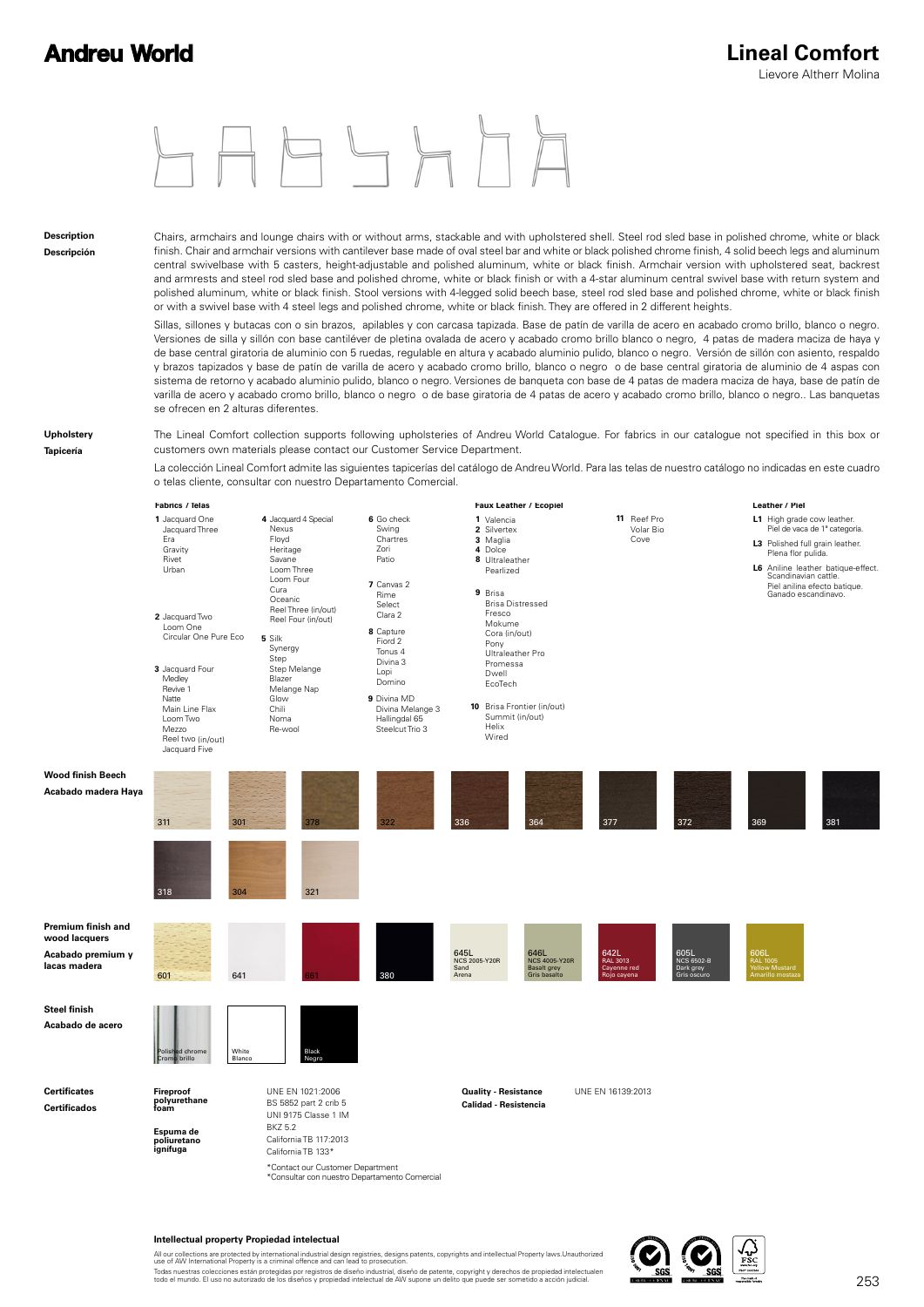

#### **Description Descripción**

Chairs, armchairs and lounge chairs with or without arms, stackable and with upholstered shell. Steel rod sled base in polished chrome, white or black finish. Chair and armchair versions with cantilever base made of oval steel bar and white or black polished chrome finish, 4 solid beech legs and aluminum central swivelbase with 5 casters, height-adjustable and polished aluminum, white or black finish. Armchair version with upholstered seat, backrest and armrests and steel rod sled base and polished chrome, white or black finish or with a 4-star aluminum central swivel base with return system and polished aluminum, white or black finish. Stool versions with 4-legged solid beech base, steel rod sled base and polished chrome, white or black finish or with a swivel base with 4 steel legs and polished chrome, white or black finish. They are offered in 2 different heights.

Sillas, sillones y butacas con o sin brazos, apilables y con carcasa tapizada. Base de patín de varilla de acero en acabado cromo brillo, blanco o negro. Versiones de silla y sillón con base cantiléver de pletina ovalada de acero y acabado cromo brillo blanco o negro, 4 patas de madera maciza de haya y de base central giratoria de aluminio con 5 ruedas, regulable en altura y acabado aluminio pulido, blanco o negro. Versión de sillón con asiento, respaldo y brazos tapizados y base de patín de varilla de acero y acabado cromo brillo, blanco o negro o de base central giratoria de aluminio de 4 aspas con sistema de retorno y acabado aluminio pulido, blanco o negro. Versiones de banqueta con base de 4 patas de madera maciza de haya, base de patín de varilla de acero y acabado cromo brillo, blanco o negro o de base giratoria de 4 patas de acero y acabado cromo brillo, blanco o negro.. Las banquetas se ofrecen en 2 alturas diferentes.

#### **Upholstery**

**Tapicería**

The Lineal Comfort collection supports following upholsteries of Andreu World Catalogue. For fabrics in our catalogue not specified in this box or customers own materials please contact our Customer Service Department.

La colección Lineal Comfort admite las siguientes tapicerías del catálogo de Andreu World. Para las telas de nuestro catálogo no indicadas en este cuadro o telas cliente, consultar con nuestro Departamento Comercial.



#### **Intellectual property Propiedad intelectual**

All our collections are protected by international industrial design registries, designs patents, copyrights and intellectual Property laws.Unauthorized<br>use of AW International Property is a criminal offence and can lead t Todas nuestras colecciones están protegidas por registros de diseño industrial, diseño de patente, copyright y derechos de propiedad intelectualen<br>todo el mundo. El uso no autorizado de los diseños y propiedad intelectual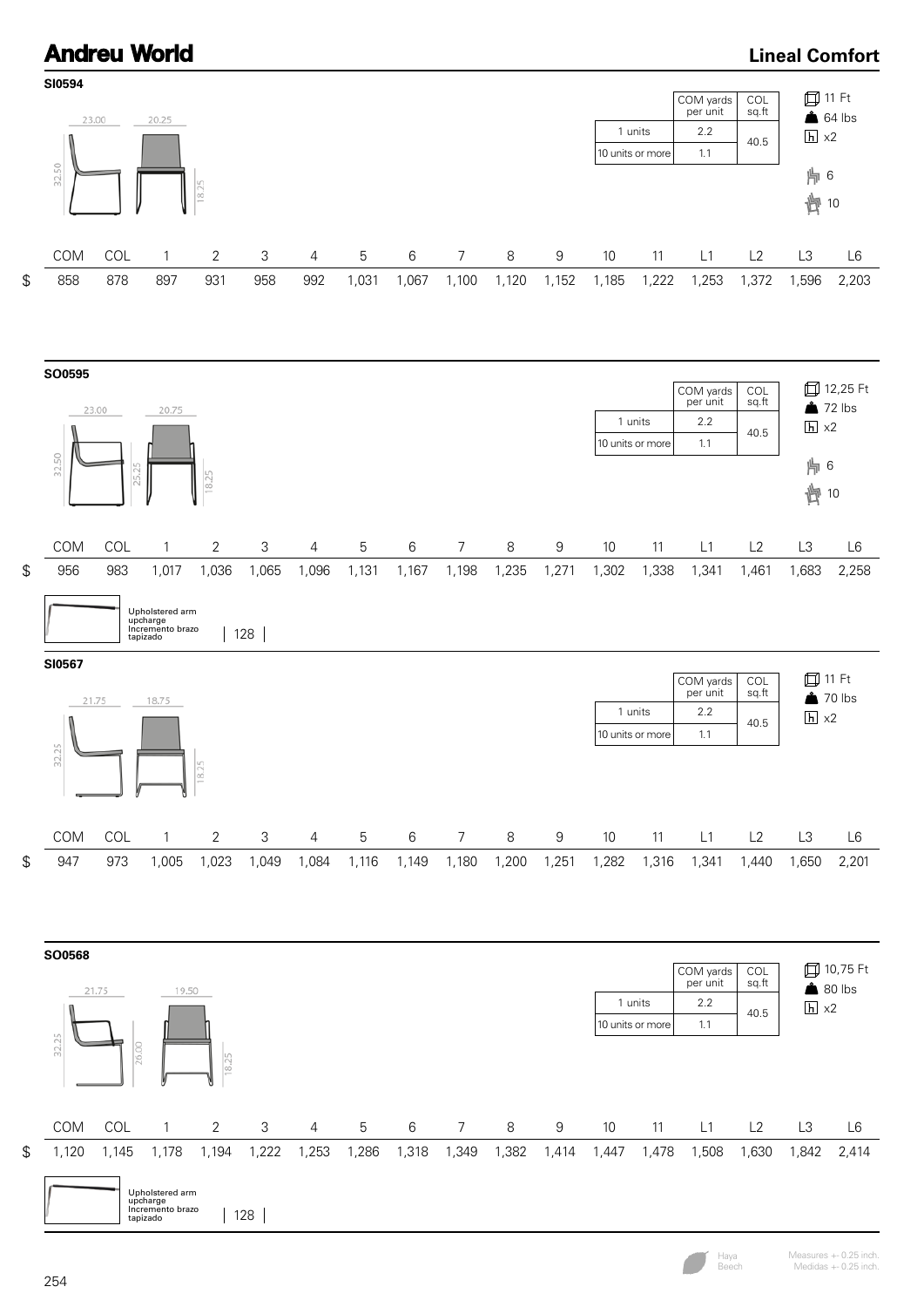### **Lineal Comfort**







Haya Beech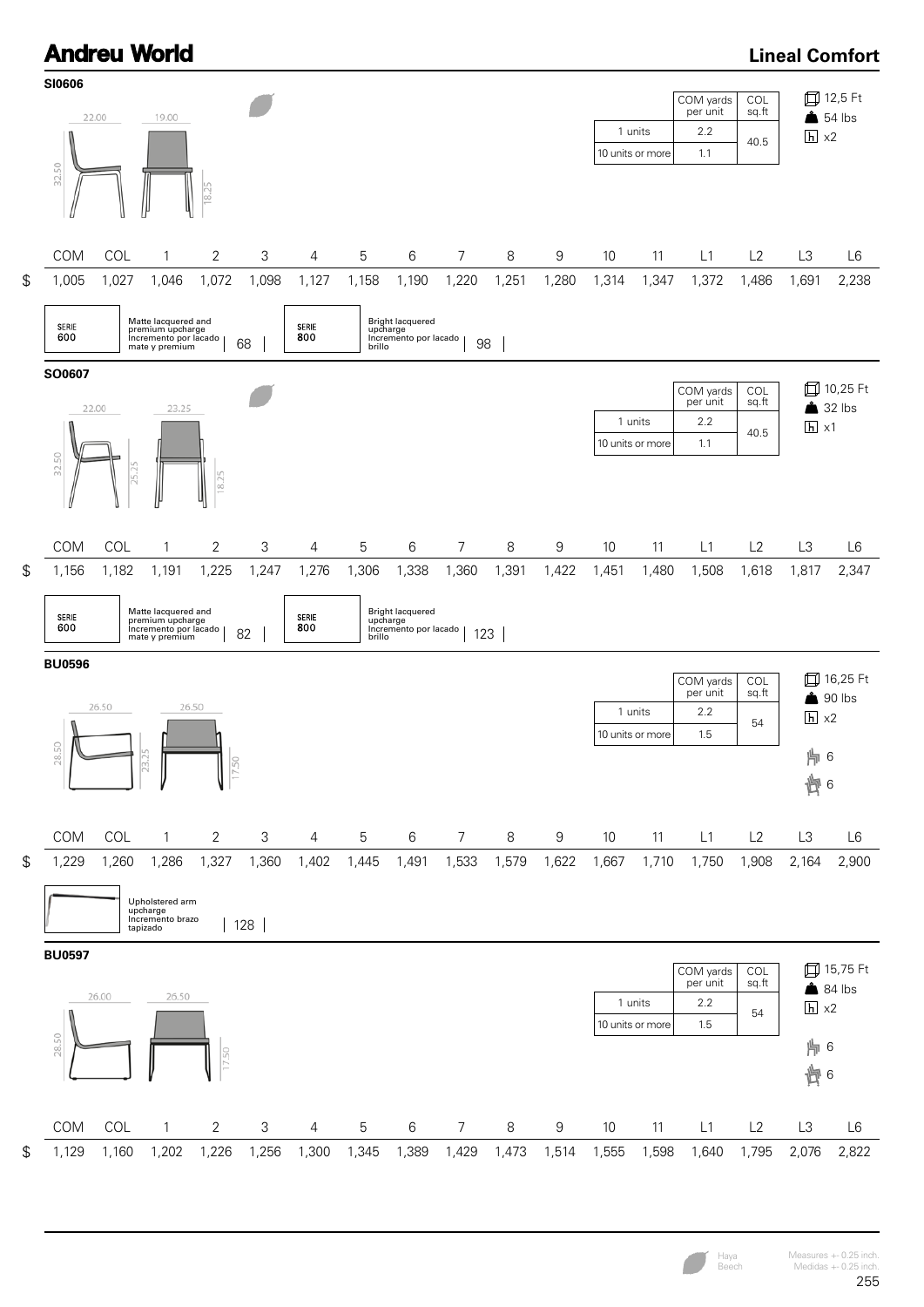

| <b>SERIE</b><br>600 | Matte lacquered and<br>premium upcharge<br>Incremento por lacado<br>ററ<br>mate y premium<br>OZ | <b>SERIE</b><br>800 | <b>Bright lacquered</b><br>upcharge<br>Incremento por lacado<br>100<br>brillo<br>ںے |
|---------------------|------------------------------------------------------------------------------------------------|---------------------|-------------------------------------------------------------------------------------|
|---------------------|------------------------------------------------------------------------------------------------|---------------------|-------------------------------------------------------------------------------------|

**BU0596**



1 units 10 units or more 28.50 COM COL 1 2 3 4 5 6 7 8 9 10 11 L1 L2 L3 L6 \$ 1,229 1,260 1,286 1,327 1,360 1,402 1,445 1,491 1,533 1,579 1,622 1,667 1,710 1,750 1,908 2,164 2,900

\$



1,129 1,160 1,202 1,226 1,256 1,300 1,345 1,389 1,429 1,473 1,514 1,555 1,598 1,640 1,795 2,076 2,822

Haya Beech

16,25 Ft  $\triangle$  90 lbs  $h \times 2$ 

⊯ 6 面6

54

COL sq.ft

COM yards per unit

1.5 2.2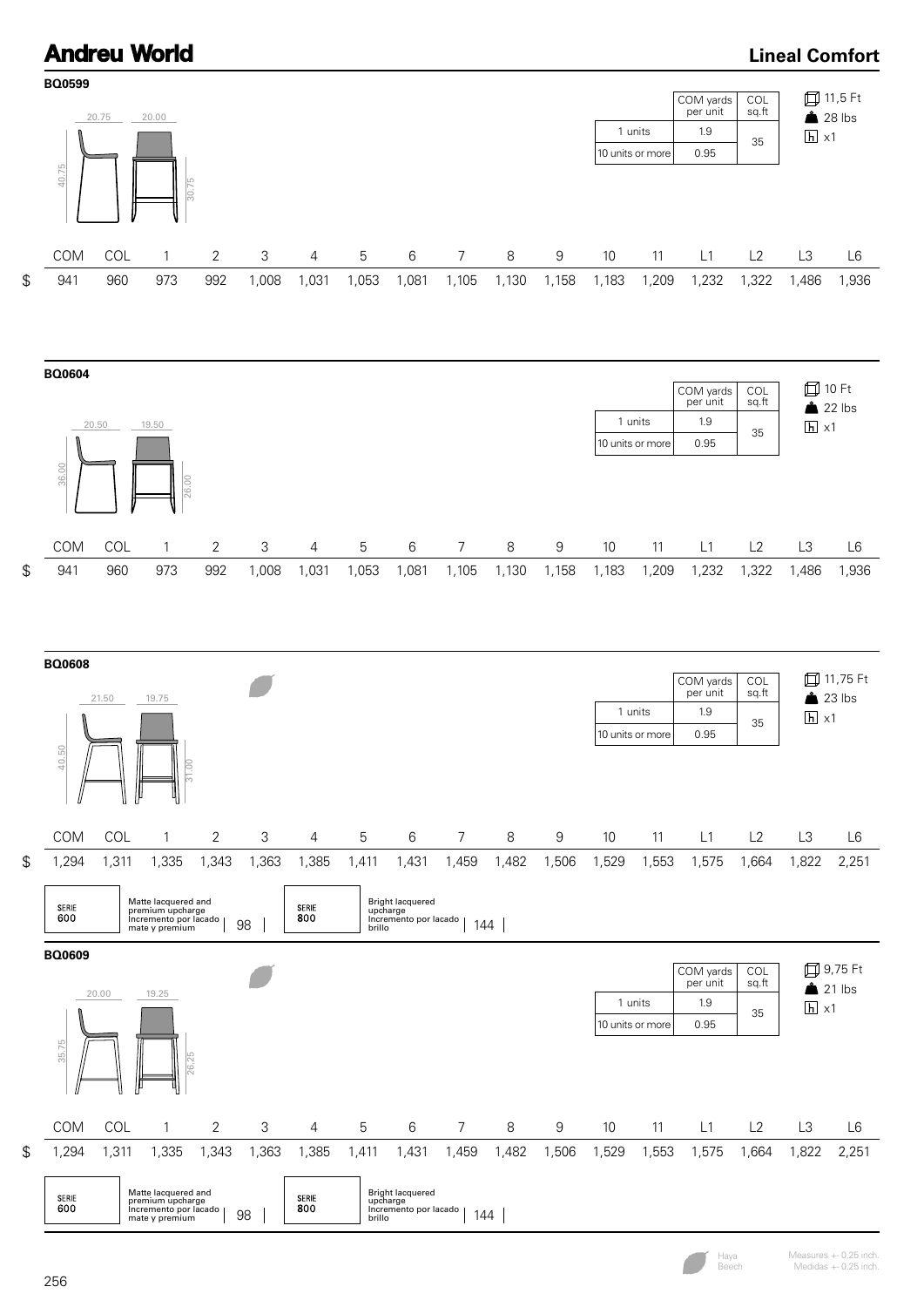### **Lineal Comfort**



Haya Beech

Measures +- 0.25 inch. Medidas +- 0.25 inch.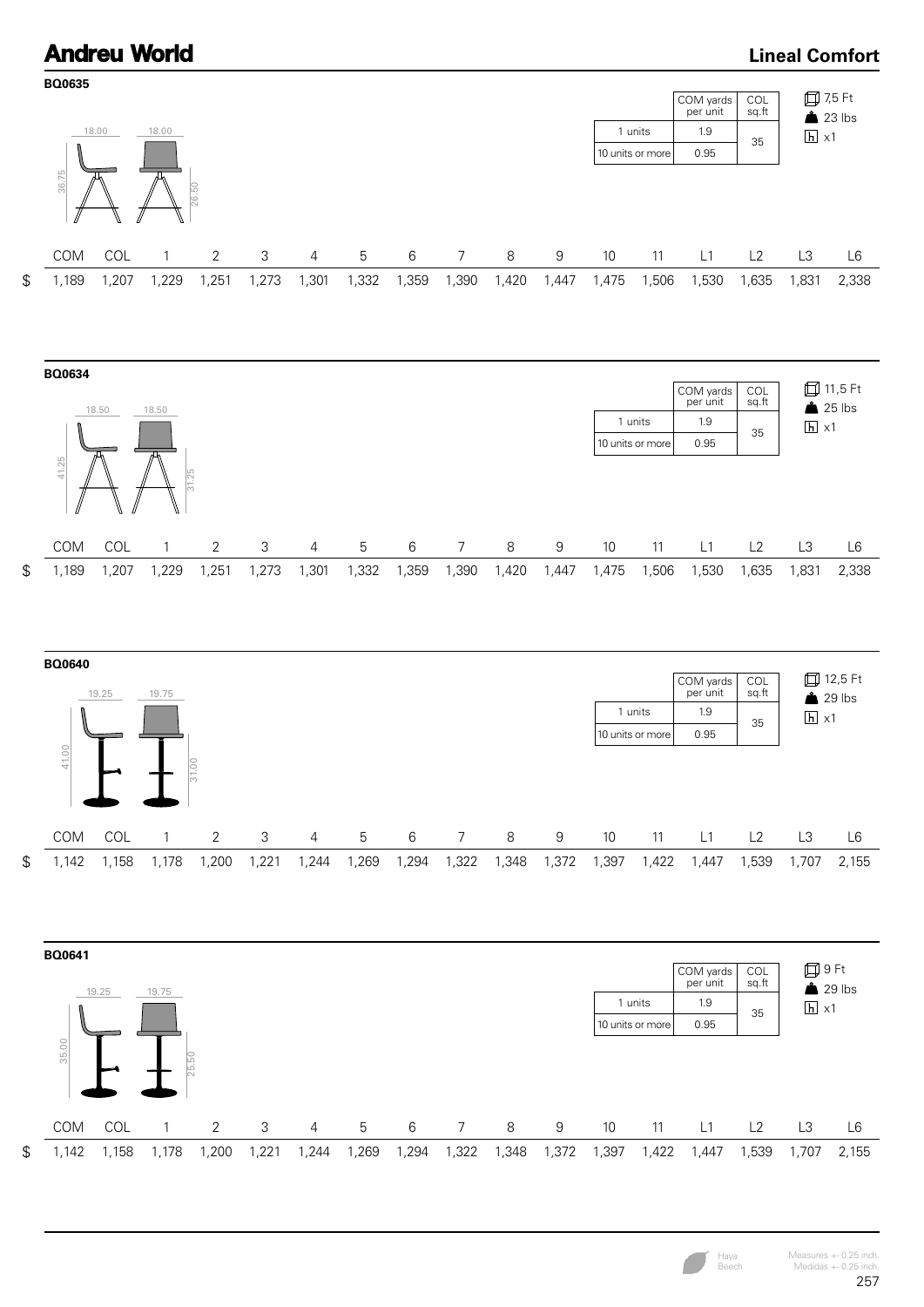

Haya Beech

### Measures +- 0.25 inch. Medidas +- 0.25 inch.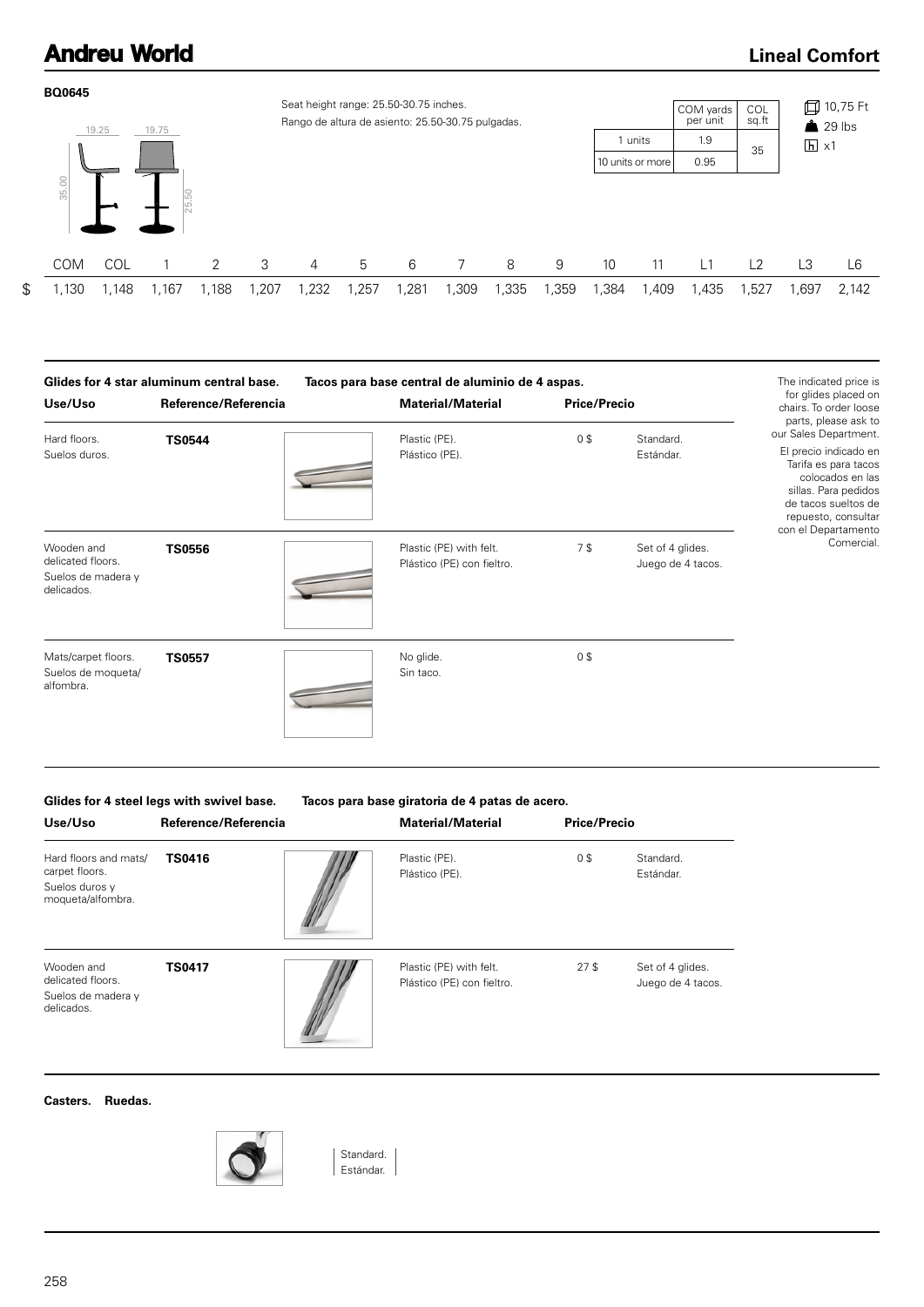### **Lineal Comfort**



| Glides for 4 star aluminum central base.                            |                      | Tacos para base central de aluminio de 4 aspas.       | The indicated price is |                                       |                                                                                                                                                                                          |
|---------------------------------------------------------------------|----------------------|-------------------------------------------------------|------------------------|---------------------------------------|------------------------------------------------------------------------------------------------------------------------------------------------------------------------------------------|
| Use/Uso                                                             | Reference/Referencia | <b>Material/Material</b>                              | <b>Price/Precio</b>    |                                       | for glides placed on<br>chairs. To order loose                                                                                                                                           |
| Hard floors.<br>Suelos duros.                                       | <b>TS0544</b>        | Plastic (PE).<br>Plástico (PE).                       | 0\$                    | Standard.<br>Estándar.                | parts, please ask to<br>our Sales Department.<br>El precio indicado en<br>Tarifa es para tacos<br>colocados en las<br>sillas. Para pedidos<br>de tacos sueltos de<br>repuesto, consultar |
| Wooden and<br>delicated floors.<br>Suelos de madera y<br>delicados. | <b>TS0556</b>        | Plastic (PE) with felt.<br>Plástico (PE) con fieltro. | 7\$                    | Set of 4 glides.<br>Juego de 4 tacos. | con el Departamento<br>Comercial.                                                                                                                                                        |
| Mats/carpet floors.<br>Suelos de moqueta/<br>alfombra.              | <b>TS0557</b>        | No glide.<br>Sin taco.                                | 0\$                    |                                       |                                                                                                                                                                                          |

**Glides for 4 steel legs with swivel base. Tacos para base giratoria de 4 patas de acero.**

| Use/Uso                                                                        | Reference/Referencia | <b>Material/Material</b>                              | <b>Price/Precio</b> |                                       |
|--------------------------------------------------------------------------------|----------------------|-------------------------------------------------------|---------------------|---------------------------------------|
| Hard floors and mats/<br>carpet floors.<br>Suelos duros y<br>moqueta/alfombra. | <b>TS0416</b>        | Plastic (PE).<br>Plástico (PE).                       | 0\$                 | Standard.<br>Estándar.                |
| Wooden and<br>delicated floors.<br>Suelos de madera y<br>delicados.            | <b>TS0417</b>        | Plastic (PE) with felt.<br>Plástico (PE) con fieltro. | 27 <sup>5</sup>     | Set of 4 glides.<br>Juego de 4 tacos. |

**Casters. Ruedas.**



Standard. Estándar.